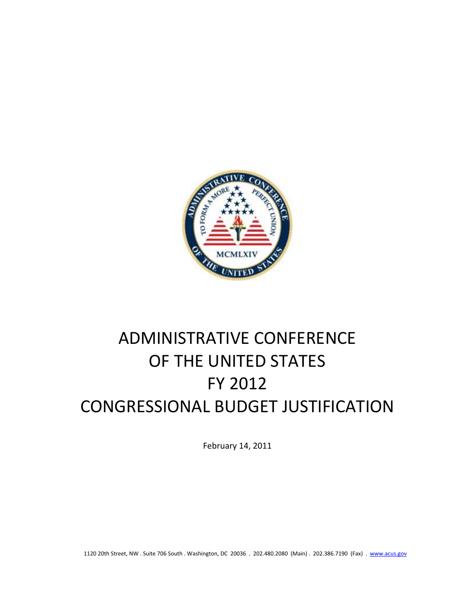

# ADMINISTRATIVE CONFERENCE OF THE UNITED STATES FY 2012 CONGRESSIONAL BUDGET JUSTIFICATION

February 14, 2011

1120 20th Street, NW . Suite 706 South . Washington, DC 20036 . 202.480.2080 (Main) . 202.386.7190 (Fax) . [www.acus.gov](http://www.acus.gov/)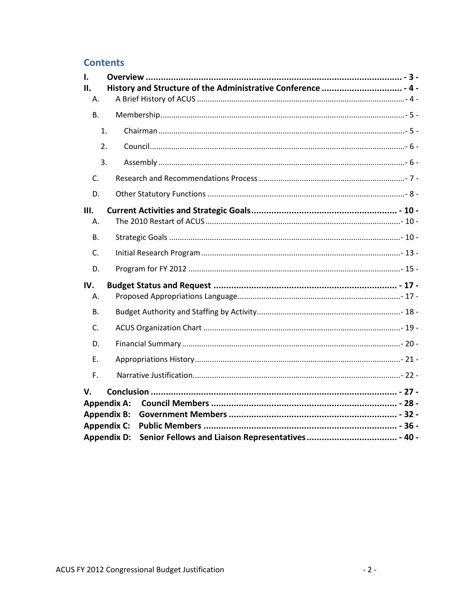# **Contents**

| L.                 |                    |  |  |  |  |
|--------------------|--------------------|--|--|--|--|
| II.                |                    |  |  |  |  |
| Α.                 |                    |  |  |  |  |
| <b>B.</b>          |                    |  |  |  |  |
|                    | 1.                 |  |  |  |  |
|                    | $\overline{2}$ .   |  |  |  |  |
|                    | 3.                 |  |  |  |  |
| C.                 |                    |  |  |  |  |
| D.                 |                    |  |  |  |  |
| Ш.                 |                    |  |  |  |  |
| Α.                 |                    |  |  |  |  |
| <b>B.</b>          |                    |  |  |  |  |
| C.                 |                    |  |  |  |  |
| D.                 |                    |  |  |  |  |
| IV.<br>Α.          |                    |  |  |  |  |
| <b>B.</b>          |                    |  |  |  |  |
| C.                 |                    |  |  |  |  |
| D.                 |                    |  |  |  |  |
| Ε.                 |                    |  |  |  |  |
| F.                 |                    |  |  |  |  |
| V.                 |                    |  |  |  |  |
| <b>Appendix A:</b> |                    |  |  |  |  |
| <b>Appendix B:</b> |                    |  |  |  |  |
| <b>Appendix C:</b> |                    |  |  |  |  |
|                    | <b>Appendix D:</b> |  |  |  |  |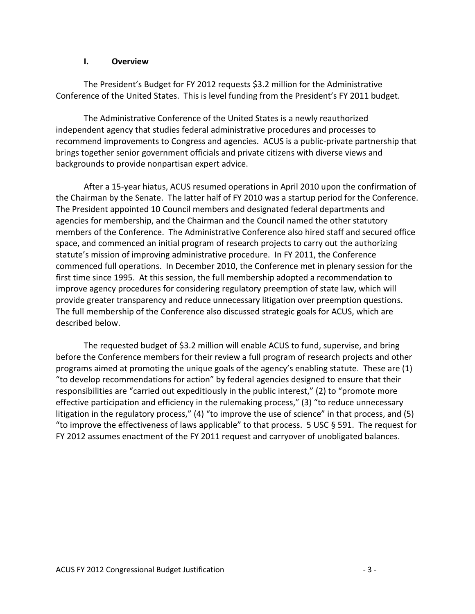## **I. Overview**

<span id="page-2-0"></span>The President's Budget for FY 2012 requests \$3.2 million for the Administrative Conference of the United States. This is level funding from the President's FY 2011 budget.

The Administrative Conference of the United States is a newly reauthorized independent agency that studies federal administrative procedures and processes to recommend improvements to Congress and agencies. ACUS is a public-private partnership that brings together senior government officials and private citizens with diverse views and backgrounds to provide nonpartisan expert advice.

After a 15-year hiatus, ACUS resumed operations in April 2010 upon the confirmation of the Chairman by the Senate. The latter half of FY 2010 was a startup period for the Conference. The President appointed 10 Council members and designated federal departments and agencies for membership, and the Chairman and the Council named the other statutory members of the Conference. The Administrative Conference also hired staff and secured office space, and commenced an initial program of research projects to carry out the authorizing statute's mission of improving administrative procedure. In FY 2011, the Conference commenced full operations. In December 2010, the Conference met in plenary session for the first time since 1995. At this session, the full membership adopted a recommendation to improve agency procedures for considering regulatory preemption of state law, which will provide greater transparency and reduce unnecessary litigation over preemption questions. The full membership of the Conference also discussed strategic goals for ACUS, which are described below.

The requested budget of \$3.2 million will enable ACUS to fund, supervise, and bring before the Conference members for their review a full program of research projects and other programs aimed at promoting the unique goals of the agency's enabling statute. These are (1) "to develop recommendations for action" by federal agencies designed to ensure that their responsibilities are "carried out expeditiously in the public interest," (2) to "promote more effective participation and efficiency in the rulemaking process," (3) "to reduce unnecessary litigation in the regulatory process," (4) "to improve the use of science" in that process, and (5) "to improve the effectiveness of laws applicable" to that process. 5 USC § 591. The request for FY 2012 assumes enactment of the FY 2011 request and carryover of unobligated balances.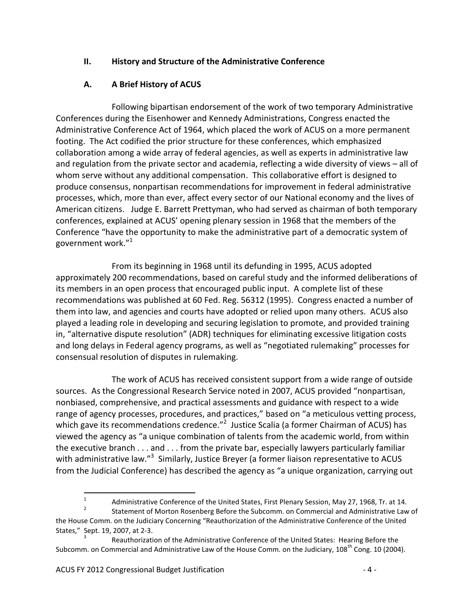# <span id="page-3-0"></span>**II. History and Structure of the Administrative Conference**

# **A. A Brief History of ACUS**

<span id="page-3-1"></span>Following bipartisan endorsement of the work of two temporary Administrative Conferences during the Eisenhower and Kennedy Administrations, Congress enacted the Administrative Conference Act of 1964, which placed the work of ACUS on a more permanent footing. The Act codified the prior structure for these conferences, which emphasized collaboration among a wide array of federal agencies, as well as experts in administrative law and regulation from the private sector and academia, reflecting a wide diversity of views – all of whom serve without any additional compensation. This collaborative effort is designed to produce consensus, nonpartisan recommendations for improvement in federal administrative processes, which, more than ever, affect every sector of our National economy and the lives of American citizens. Judge E. Barrett Prettyman, who had served as chairman of both temporary conferences, explained at ACUS' opening plenary session in 1968 that the members of the Conference "have the opportunity to make the administrative part of a democratic system of government work."<sup>1</sup>

From its beginning in 1968 until its defunding in 1995, ACUS adopted approximately 200 recommendations, based on careful study and the informed deliberations of its members in an open process that encouraged public input. A complete list of these recommendations was published at 60 Fed. Reg. 56312 (1995). Congress enacted a number of them into law, and agencies and courts have adopted or relied upon many others. ACUS also played a leading role in developing and securing legislation to promote, and provided training in, "alternative dispute resolution" (ADR) techniques for eliminating excessive litigation costs and long delays in Federal agency programs, as well as "negotiated rulemaking" processes for consensual resolution of disputes in rulemaking.

The work of ACUS has received consistent support from a wide range of outside sources. As the Congressional Research Service noted in 2007, ACUS provided "nonpartisan, nonbiased, comprehensive, and practical assessments and guidance with respect to a wide range of agency processes, procedures, and practices," based on "a meticulous vetting process, which gave its recommendations credence."<sup>2</sup> Justice Scalia (a former Chairman of ACUS) has viewed the agency as "a unique combination of talents from the academic world, from within the executive branch . . . and . . . from the private bar, especially lawyers particularly familiar with administrative law."<sup>3</sup> Similarly, Justice Breyer (a former liaison representative to ACUS from the Judicial Conference) has described the agency as "a unique organization, carrying out

 $\frac{1}{1}$ Administrative Conference of the United States, First Plenary Session, May 27, 1968, Tr. at 14.

<sup>2</sup> Statement of Morton Rosenberg Before the Subcomm. on Commercial and Administrative Law of the House Comm. on the Judiciary Concerning "Reauthorization of the Administrative Conference of the United States," Sept. 19, 2007, at 2-3.

<sup>3</sup> Reauthorization of the Administrative Conference of the United States: Hearing Before the Subcomm. on Commercial and Administrative Law of the House Comm. on the Judiciary,  $108^{th}$  Cong. 10 (2004).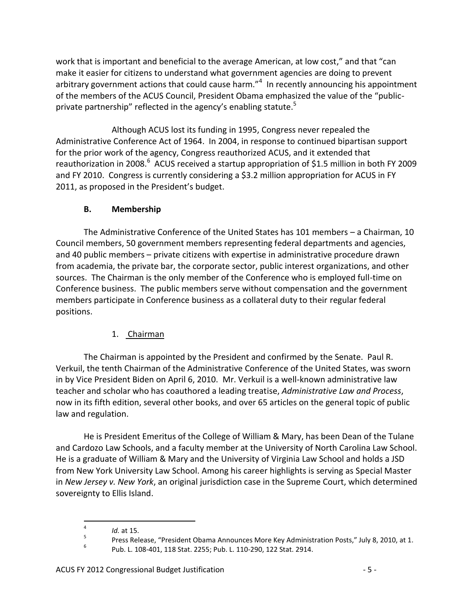work that is important and beneficial to the average American, at low cost," and that "can make it easier for citizens to understand what government agencies are doing to prevent arbitrary government actions that could cause harm."<sup>4</sup> In recently announcing his appointment of the members of the ACUS Council, President Obama emphasized the value of the "publicprivate partnership" reflected in the agency's enabling statute.<sup>5</sup>

Although ACUS lost its funding in 1995, Congress never repealed the Administrative Conference Act of 1964. In 2004, in response to continued bipartisan support for the prior work of the agency, Congress reauthorized ACUS, and it extended that reauthorization in 2008.<sup>6</sup> ACUS received a startup appropriation of \$1.5 million in both FY 2009 and FY 2010. Congress is currently considering a \$3.2 million appropriation for ACUS in FY 2011, as proposed in the President's budget.

# **B. Membership**

<span id="page-4-0"></span>The Administrative Conference of the United States has 101 members – a Chairman, 10 Council members, 50 government members representing federal departments and agencies, and 40 public members – private citizens with expertise in administrative procedure drawn from academia, the private bar, the corporate sector, public interest organizations, and other sources. The Chairman is the only member of the Conference who is employed full-time on Conference business. The public members serve without compensation and the government members participate in Conference business as a collateral duty to their regular federal positions.

# <span id="page-4-1"></span>1. Chairman

The Chairman is appointed by the President and confirmed by the Senate. Paul R. Verkuil, the tenth Chairman of the Administrative Conference of the United States, was sworn in by Vice President Biden on April 6, 2010. Mr. Verkuil is a well-known administrative law teacher and scholar who has coauthored a leading treatise, *Administrative Law and Process*, now in its fifth edition, several other books, and over 65 articles on the general topic of public law and regulation.

He is President Emeritus of the College of William & Mary, has been Dean of the Tulane and Cardozo Law Schools, and a faculty member at the University of North Carolina Law School. He is a graduate of William & Mary and the University of Virginia Law School and holds a JSD from New York University Law School. Among his career highlights is serving as Special Master in *New Jersey v. New York*, an original jurisdiction case in the Supreme Court, which determined sovereignty to Ellis Island.

 $\frac{1}{4}$ 

*Id.* at 15.

<sup>5</sup> Press Release, "President Obama Announces More Key Administration Posts," July 8, 2010, at 1. 6

Pub. L. 108-401, 118 Stat. 2255; Pub. L. 110-290, 122 Stat. 2914.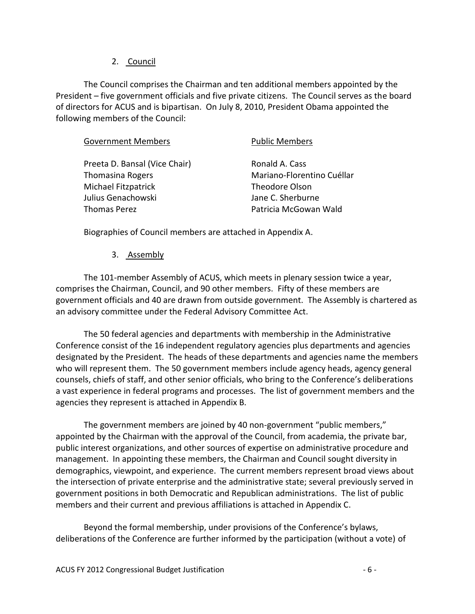## <span id="page-5-0"></span>2. Council

The Council comprises the Chairman and ten additional members appointed by the President – five government officials and five private citizens. The Council serves as the board of directors for ACUS and is bipartisan. On July 8, 2010, President Obama appointed the following members of the Council:

| <b>Government Members</b>     | <b>Public Members</b>      |
|-------------------------------|----------------------------|
| Preeta D. Bansal (Vice Chair) | Ronald A. Cass             |
| <b>Thomasina Rogers</b>       | Mariano-Florentino Cuéllar |
| Michael Fitzpatrick           | <b>Theodore Olson</b>      |
| Julius Genachowski            | Jane C. Sherburne          |
| <b>Thomas Perez</b>           | Patricia McGowan Wald      |
|                               |                            |

Biographies of Council members are attached in Appendix A.

## <span id="page-5-1"></span>3. Assembly

The 101-member Assembly of ACUS, which meets in plenary session twice a year, comprises the Chairman, Council, and 90 other members. Fifty of these members are government officials and 40 are drawn from outside government. The Assembly is chartered as an advisory committee under the Federal Advisory Committee Act.

The 50 federal agencies and departments with membership in the Administrative Conference consist of the 16 independent regulatory agencies plus departments and agencies designated by the President. The heads of these departments and agencies name the members who will represent them. The 50 government members include agency heads, agency general counsels, chiefs of staff, and other senior officials, who bring to the Conference's deliberations a vast experience in federal programs and processes. The list of government members and the agencies they represent is attached in Appendix B.

The government members are joined by 40 non-government "public members," appointed by the Chairman with the approval of the Council, from academia, the private bar, public interest organizations, and other sources of expertise on administrative procedure and management. In appointing these members, the Chairman and Council sought diversity in demographics, viewpoint, and experience. The current members represent broad views about the intersection of private enterprise and the administrative state; several previously served in government positions in both Democratic and Republican administrations. The list of public members and their current and previous affiliations is attached in Appendix C.

Beyond the formal membership, under provisions of the Conference's bylaws, deliberations of the Conference are further informed by the participation (without a vote) of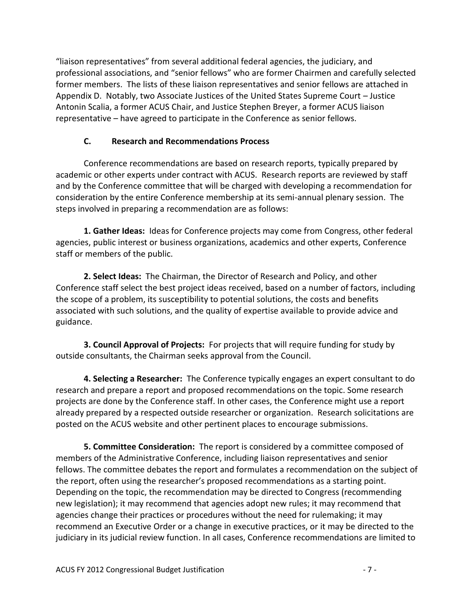"liaison representatives" from several additional federal agencies, the judiciary, and professional associations, and "senior fellows" who are former Chairmen and carefully selected former members. The lists of these liaison representatives and senior fellows are attached in Appendix D. Notably, two Associate Justices of the United States Supreme Court – Justice Antonin Scalia, a former ACUS Chair, and Justice Stephen Breyer, a former ACUS liaison representative – have agreed to participate in the Conference as senior fellows.

# **C. Research and Recommendations Process**

<span id="page-6-0"></span>Conference recommendations are based on research reports, typically prepared by academic or other experts under contract with ACUS. Research reports are reviewed by staff and by the Conference committee that will be charged with developing a recommendation for consideration by the entire Conference membership at its semi-annual plenary session. The steps involved in preparing a recommendation are as follows:

**1. Gather Ideas:** Ideas for Conference projects may come from Congress, other federal agencies, public interest or business organizations, academics and other experts, Conference staff or members of the public.

**2. Select Ideas:** The Chairman, the Director of Research and Policy, and other Conference staff select the best project ideas received, based on a number of factors, including the scope of a problem, its susceptibility to potential solutions, the costs and benefits associated with such solutions, and the quality of expertise available to provide advice and guidance.

**3. Council Approval of Projects:** For projects that will require funding for study by outside consultants, the Chairman seeks approval from the Council.

**4. Selecting a Researcher:** The Conference typically engages an expert consultant to do research and prepare a report and proposed recommendations on the topic. Some research projects are done by the Conference staff. In other cases, the Conference might use a report already prepared by a respected outside researcher or organization. Research solicitations are posted on the ACUS website and other pertinent places to encourage submissions.

**5. Committee Consideration:** The report is considered by a committee composed of members of the Administrative Conference, including liaison representatives and senior fellows. The committee debates the report and formulates a recommendation on the subject of the report, often using the researcher's proposed recommendations as a starting point. Depending on the topic, the recommendation may be directed to Congress (recommending new legislation); it may recommend that agencies adopt new rules; it may recommend that agencies change their practices or procedures without the need for rulemaking; it may recommend an Executive Order or a change in executive practices, or it may be directed to the judiciary in its judicial review function. In all cases, Conference recommendations are limited to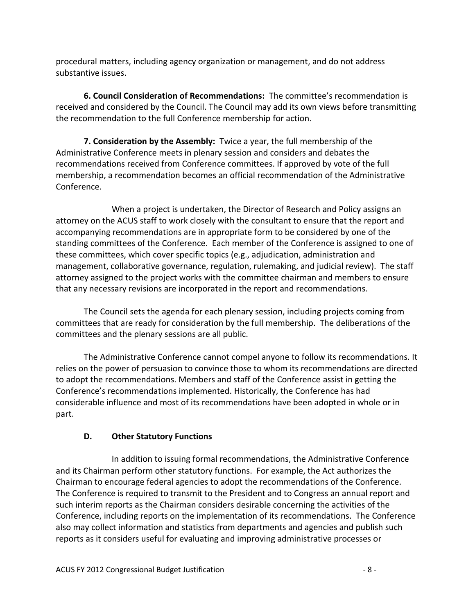procedural matters, including agency organization or management, and do not address substantive issues.

**6. Council Consideration of Recommendations:** The committee's recommendation is received and considered by the Council. The Council may add its own views before transmitting the recommendation to the full Conference membership for action.

**7. Consideration by the Assembly:** Twice a year, the full membership of the Administrative Conference meets in plenary session and considers and debates the recommendations received from Conference committees. If approved by vote of the full membership, a recommendation becomes an official recommendation of the Administrative Conference.

When a project is undertaken, the Director of Research and Policy assigns an attorney on the ACUS staff to work closely with the consultant to ensure that the report and accompanying recommendations are in appropriate form to be considered by one of the standing committees of the Conference. Each member of the Conference is assigned to one of these committees, which cover specific topics (e.g., adjudication, administration and management, collaborative governance, regulation, rulemaking, and judicial review). The staff attorney assigned to the project works with the committee chairman and members to ensure that any necessary revisions are incorporated in the report and recommendations.

The Council sets the agenda for each plenary session, including projects coming from committees that are ready for consideration by the full membership. The deliberations of the committees and the plenary sessions are all public.

The Administrative Conference cannot compel anyone to follow its recommendations. It relies on the power of persuasion to convince those to whom its recommendations are directed to adopt the recommendations. Members and staff of the Conference assist in getting the Conference's recommendations implemented. Historically, the Conference has had considerable influence and most of its recommendations have been adopted in whole or in part.

# **D. Other Statutory Functions**

<span id="page-7-0"></span>In addition to issuing formal recommendations, the Administrative Conference and its Chairman perform other statutory functions. For example, the Act authorizes the Chairman to encourage federal agencies to adopt the recommendations of the Conference. The Conference is required to transmit to the President and to Congress an annual report and such interim reports as the Chairman considers desirable concerning the activities of the Conference, including reports on the implementation of its recommendations. The Conference also may collect information and statistics from departments and agencies and publish such reports as it considers useful for evaluating and improving administrative processes or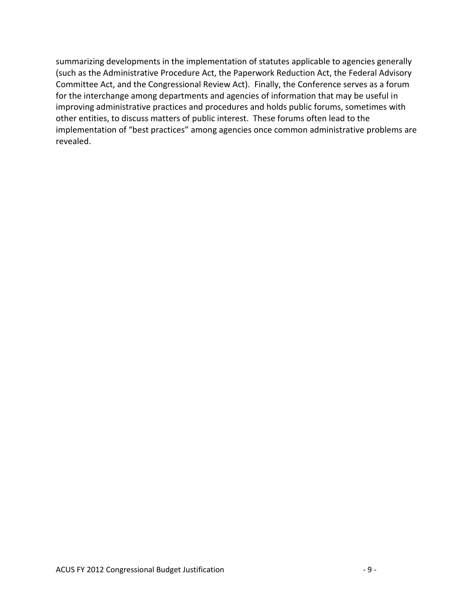summarizing developments in the implementation of statutes applicable to agencies generally (such as the Administrative Procedure Act, the Paperwork Reduction Act, the Federal Advisory Committee Act, and the Congressional Review Act). Finally, the Conference serves as a forum for the interchange among departments and agencies of information that may be useful in improving administrative practices and procedures and holds public forums, sometimes with other entities, to discuss matters of public interest. These forums often lead to the implementation of "best practices" among agencies once common administrative problems are revealed.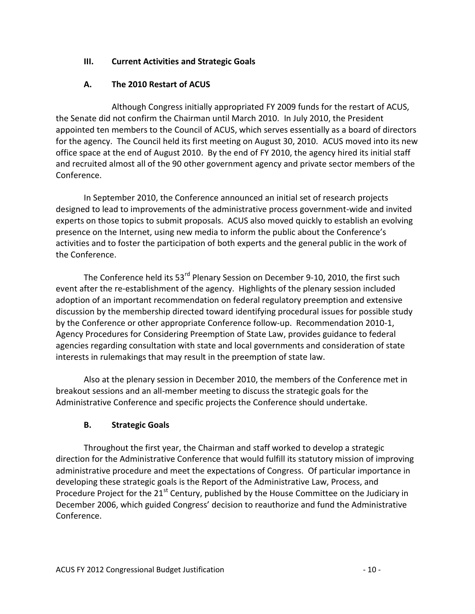# <span id="page-9-0"></span>**III. Current Activities and Strategic Goals**

# **A. The 2010 Restart of ACUS**

<span id="page-9-1"></span>Although Congress initially appropriated FY 2009 funds for the restart of ACUS, the Senate did not confirm the Chairman until March 2010. In July 2010, the President appointed ten members to the Council of ACUS, which serves essentially as a board of directors for the agency. The Council held its first meeting on August 30, 2010. ACUS moved into its new office space at the end of August 2010. By the end of FY 2010, the agency hired its initial staff and recruited almost all of the 90 other government agency and private sector members of the Conference.

In September 2010, the Conference announced an initial set of research projects designed to lead to improvements of the administrative process government-wide and invited experts on those topics to submit proposals. ACUS also moved quickly to establish an evolving presence on the Internet, using new media to inform the public about the Conference's activities and to foster the participation of both experts and the general public in the work of the Conference.

The Conference held its 53<sup>rd</sup> Plenary Session on December 9-10, 2010, the first such event after the re-establishment of the agency. Highlights of the plenary session included adoption of an important recommendation on federal regulatory preemption and extensive discussion by the membership directed toward identifying procedural issues for possible study by the Conference or other appropriate Conference follow-up. Recommendation 2010-1, Agency Procedures for Considering Preemption of State Law, provides guidance to federal agencies regarding consultation with state and local governments and consideration of state interests in rulemakings that may result in the preemption of state law.

Also at the plenary session in December 2010, the members of the Conference met in breakout sessions and an all-member meeting to discuss the strategic goals for the Administrative Conference and specific projects the Conference should undertake.

# **B. Strategic Goals**

<span id="page-9-2"></span>Throughout the first year, the Chairman and staff worked to develop a strategic direction for the Administrative Conference that would fulfill its statutory mission of improving administrative procedure and meet the expectations of Congress. Of particular importance in developing these strategic goals is the Report of the Administrative Law, Process, and Procedure Project for the  $21<sup>st</sup>$  Century, published by the House Committee on the Judiciary in December 2006, which guided Congress' decision to reauthorize and fund the Administrative Conference.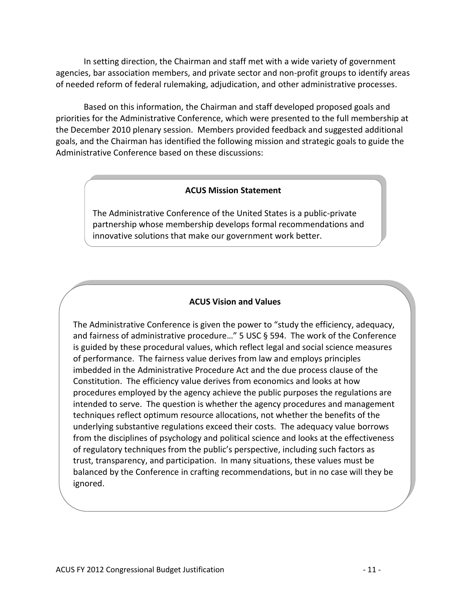In setting direction, the Chairman and staff met with a wide variety of government agencies, bar association members, and private sector and non-profit groups to identify areas of needed reform of federal rulemaking, adjudication, and other administrative processes.

Based on this information, the Chairman and staff developed proposed goals and priorities for the Administrative Conference, which were presented to the full membership at the December 2010 plenary session. Members provided feedback and suggested additional goals, and the Chairman has identified the following mission and strategic goals to guide the Administrative Conference based on these discussions:

#### **ACUS Mission Statement**

The Administrative Conference of the United States is a public-private partnership whose membership develops formal recommendations and innovative solutions that make our government work better.

#### **ACUS Vision and Values**

The Administrative Conference is given the power to "study the efficiency, adequacy, and fairness of administrative procedure…" 5 USC § 594. The work of the Conference is guided by these procedural values, which reflect legal and social science measures of performance. The fairness value derives from law and employs principles imbedded in the Administrative Procedure Act and the due process clause of the Constitution. The efficiency value derives from economics and looks at how procedures employed by the agency achieve the public purposes the regulations are intended to serve. The question is whether the agency procedures and management techniques reflect optimum resource allocations, not whether the benefits of the underlying substantive regulations exceed their costs. The adequacy value borrows from the disciplines of psychology and political science and looks at the effectiveness of regulatory techniques from the public's perspective, including such factors as trust, transparency, and participation. In many situations, these values must be balanced by the Conference in crafting recommendations, but in no case will they be ignored.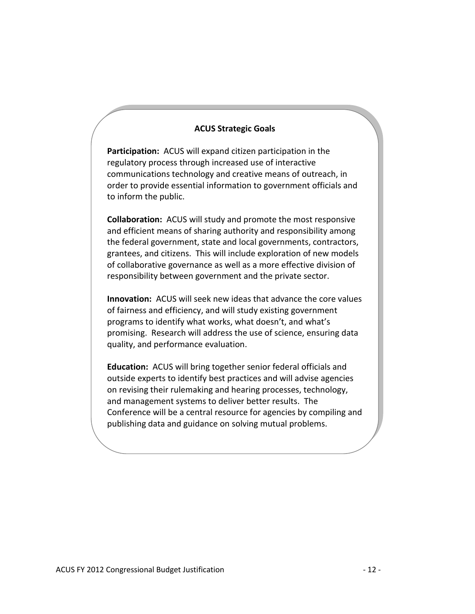#### **ACUS Strategic Goals**

**Participation:** ACUS will expand citizen participation in the regulatory process through increased use of interactive communications technology and creative means of outreach, in order to provide essential information to government officials and to inform the public.

**Collaboration:** ACUS will study and promote the most responsive and efficient means of sharing authority and responsibility among the federal government, state and local governments, contractors, grantees, and citizens. This will include exploration of new models of collaborative governance as well as a more effective division of responsibility between government and the private sector.

**Innovation:** ACUS will seek new ideas that advance the core values of fairness and efficiency, and will study existing government programs to identify what works, what doesn't, and what's promising. Research will address the use of science, ensuring data quality, and performance evaluation.

**Education:** ACUS will bring together senior federal officials and outside experts to identify best practices and will advise agencies on revising their rulemaking and hearing processes, technology, and management systems to deliver better results. The Conference will be a central resource for agencies by compiling and publishing data and guidance on solving mutual problems.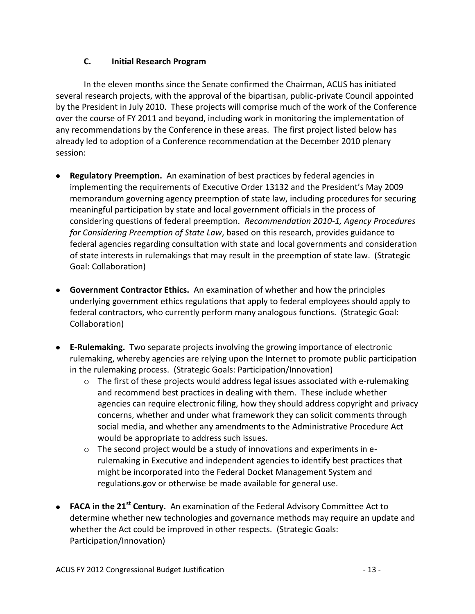# **C. Initial Research Program**

<span id="page-12-0"></span>In the eleven months since the Senate confirmed the Chairman, ACUS has initiated several research projects, with the approval of the bipartisan, public-private Council appointed by the President in July 2010. These projects will comprise much of the work of the Conference over the course of FY 2011 and beyond, including work in monitoring the implementation of any recommendations by the Conference in these areas. The first project listed below has already led to adoption of a Conference recommendation at the December 2010 plenary session:

- **Regulatory Preemption.** An examination of best practices by federal agencies in implementing the requirements of Executive Order 13132 and the President's May 2009 memorandum governing agency preemption of state law, including procedures for securing meaningful participation by state and local government officials in the process of considering questions of federal preemption*. Recommendation 2010-1, Agency Procedures for Considering Preemption of State Law*, based on this research, provides guidance to federal agencies regarding consultation with state and local governments and consideration of state interests in rulemakings that may result in the preemption of state law. (Strategic Goal: Collaboration)
- **Government Contractor Ethics.** An examination of whether and how the principles underlying government ethics regulations that apply to federal employees should apply to federal contractors, who currently perform many analogous functions. (Strategic Goal: Collaboration)
- **E-Rulemaking.** Two separate projects involving the growing importance of electronic rulemaking, whereby agencies are relying upon the Internet to promote public participation in the rulemaking process. (Strategic Goals: Participation/Innovation)
	- $\circ$  The first of these projects would address legal issues associated with e-rulemaking and recommend best practices in dealing with them. These include whether agencies can require electronic filing, how they should address copyright and privacy concerns, whether and under what framework they can solicit comments through social media, and whether any amendments to the Administrative Procedure Act would be appropriate to address such issues.
	- $\circ$  The second project would be a study of innovations and experiments in erulemaking in Executive and independent agencies to identify best practices that might be incorporated into the Federal Docket Management System and regulations.gov or otherwise be made available for general use.
- **FACA in the 21st Century.** An examination of the Federal Advisory Committee Act to determine whether new technologies and governance methods may require an update and whether the Act could be improved in other respects. (Strategic Goals: Participation/Innovation)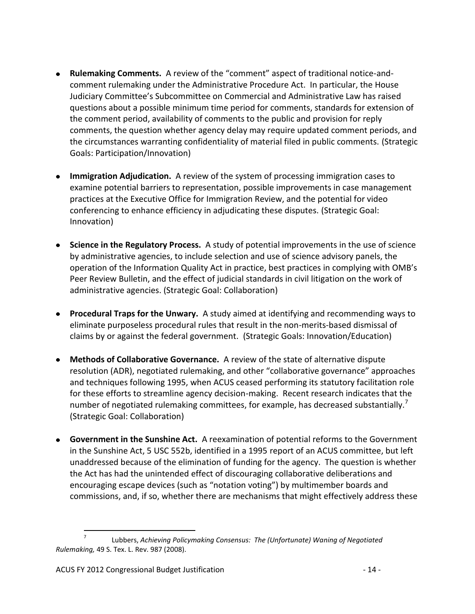- **Rulemaking Comments.** A review of the "comment" aspect of traditional notice-andcomment rulemaking under the Administrative Procedure Act. In particular, the House Judiciary Committee's Subcommittee on Commercial and Administrative Law has raised questions about a possible minimum time period for comments, standards for extension of the comment period, availability of comments to the public and provision for reply comments, the question whether agency delay may require updated comment periods, and the circumstances warranting confidentiality of material filed in public comments. (Strategic Goals: Participation/Innovation)
- **Immigration Adjudication.** A review of the system of processing immigration cases to examine potential barriers to representation, possible improvements in case management practices at the Executive Office for Immigration Review, and the potential for video conferencing to enhance efficiency in adjudicating these disputes. (Strategic Goal: Innovation)
- **Science in the Regulatory Process.** A study of potential improvements in the use of science by administrative agencies, to include selection and use of science advisory panels, the operation of the Information Quality Act in practice, best practices in complying with OMB's Peer Review Bulletin, and the effect of judicial standards in civil litigation on the work of administrative agencies. (Strategic Goal: Collaboration)
- **Procedural Traps for the Unwary.** A study aimed at identifying and recommending ways to eliminate purposeless procedural rules that result in the non-merits-based dismissal of claims by or against the federal government. (Strategic Goals: Innovation/Education)
- **Methods of Collaborative Governance.** A review of the state of alternative dispute resolution (ADR), negotiated rulemaking, and other "collaborative governance" approaches and techniques following 1995, when ACUS ceased performing its statutory facilitation role for these efforts to streamline agency decision-making. Recent research indicates that the number of negotiated rulemaking committees, for example, has decreased substantially.<sup>7</sup> (Strategic Goal: Collaboration)
- **Government in the Sunshine Act.** A reexamination of potential reforms to the Government in the Sunshine Act, 5 USC 552b, identified in a 1995 report of an ACUS committee, but left unaddressed because of the elimination of funding for the agency. The question is whether the Act has had the unintended effect of discouraging collaborative deliberations and encouraging escape devices (such as "notation voting") by multimember boards and commissions, and, if so, whether there are mechanisms that might effectively address these

<sup>-&</sup>lt;br>7 Lubbers, *Achieving Policymaking Consensus: The (Unfortunate) Waning of Negotiated Rulemaking,* 49 S. Tex. L. Rev. 987 (2008).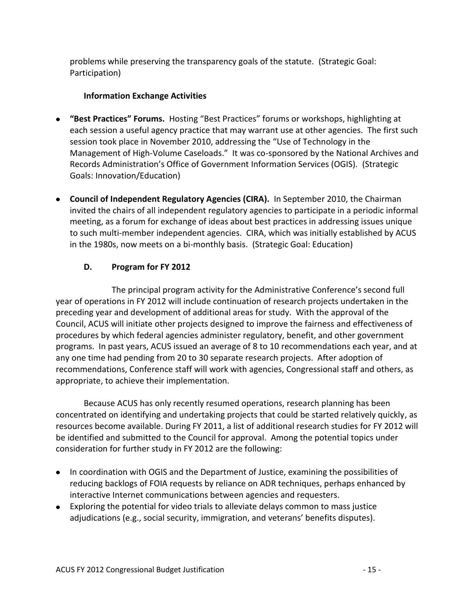problems while preserving the transparency goals of the statute. (Strategic Goal: Participation)

# **Information Exchange Activities**

- **"Best Practices" Forums.** Hosting "Best Practices" forums or workshops, highlighting at each session a useful agency practice that may warrant use at other agencies. The first such session took place in November 2010, addressing the "Use of Technology in the Management of High-Volume Caseloads." It was co-sponsored by the National Archives and Records Administration's Office of Government Information Services (OGIS). (Strategic Goals: Innovation/Education)
- **Council of Independent Regulatory Agencies (CIRA).** In September 2010, the Chairman invited the chairs of all independent regulatory agencies to participate in a periodic informal meeting, as a forum for exchange of ideas about best practices in addressing issues unique to such multi-member independent agencies. CIRA, which was initially established by ACUS in the 1980s, now meets on a bi-monthly basis. (Strategic Goal: Education)

# **D. Program for FY 2012**

<span id="page-14-0"></span>The principal program activity for the Administrative Conference's second full year of operations in FY 2012 will include continuation of research projects undertaken in the preceding year and development of additional areas for study. With the approval of the Council, ACUS will initiate other projects designed to improve the fairness and effectiveness of procedures by which federal agencies administer regulatory, benefit, and other government programs. In past years, ACUS issued an average of 8 to 10 recommendations each year, and at any one time had pending from 20 to 30 separate research projects. After adoption of recommendations, Conference staff will work with agencies, Congressional staff and others, as appropriate, to achieve their implementation.

Because ACUS has only recently resumed operations, research planning has been concentrated on identifying and undertaking projects that could be started relatively quickly, as resources become available. During FY 2011, a list of additional research studies for FY 2012 will be identified and submitted to the Council for approval. Among the potential topics under consideration for further study in FY 2012 are the following:

- In coordination with OGIS and the Department of Justice, examining the possibilities of reducing backlogs of FOIA requests by reliance on ADR techniques, perhaps enhanced by interactive Internet communications between agencies and requesters.
- Exploring the potential for video trials to alleviate delays common to mass justice adjudications (e.g., social security, immigration, and veterans' benefits disputes).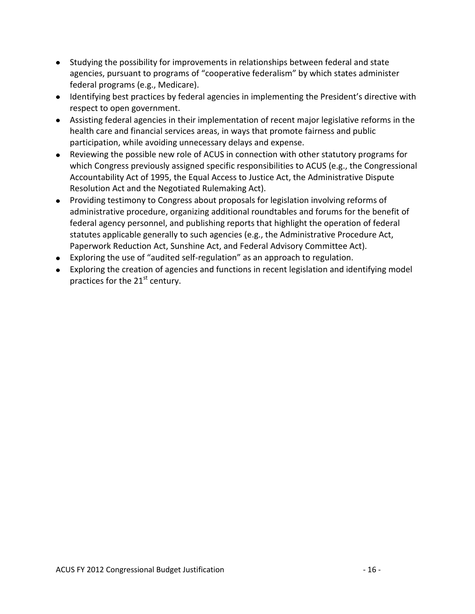- Studying the possibility for improvements in relationships between federal and state agencies, pursuant to programs of "cooperative federalism" by which states administer federal programs (e.g., Medicare).
- Identifying best practices by federal agencies in implementing the President's directive with respect to open government.
- Assisting federal agencies in their implementation of recent major legislative reforms in the health care and financial services areas, in ways that promote fairness and public participation, while avoiding unnecessary delays and expense.
- Reviewing the possible new role of ACUS in connection with other statutory programs for which Congress previously assigned specific responsibilities to ACUS (e.g., the Congressional Accountability Act of 1995, the Equal Access to Justice Act, the Administrative Dispute Resolution Act and the Negotiated Rulemaking Act).
- Providing testimony to Congress about proposals for legislation involving reforms of administrative procedure, organizing additional roundtables and forums for the benefit of federal agency personnel, and publishing reports that highlight the operation of federal statutes applicable generally to such agencies (e.g., the Administrative Procedure Act, Paperwork Reduction Act, Sunshine Act, and Federal Advisory Committee Act).
- Exploring the use of "audited self-regulation" as an approach to regulation.
- Exploring the creation of agencies and functions in recent legislation and identifying model practices for the 21<sup>st</sup> century.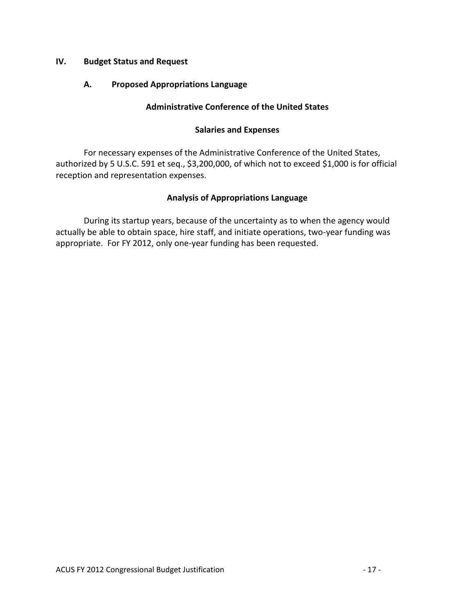## <span id="page-16-1"></span><span id="page-16-0"></span>**IV. Budget Status and Request**

## **A. Proposed Appropriations Language**

## **Administrative Conference of the United States**

## **Salaries and Expenses**

For necessary expenses of the Administrative Conference of the United States, authorized by 5 U.S.C. 591 et seq., \$3,200,000, of which not to exceed \$1,000 is for official reception and representation expenses.

# **Analysis of Appropriations Language**

During its startup years, because of the uncertainty as to when the agency would actually be able to obtain space, hire staff, and initiate operations, two-year funding was appropriate. For FY 2012, only one-year funding has been requested.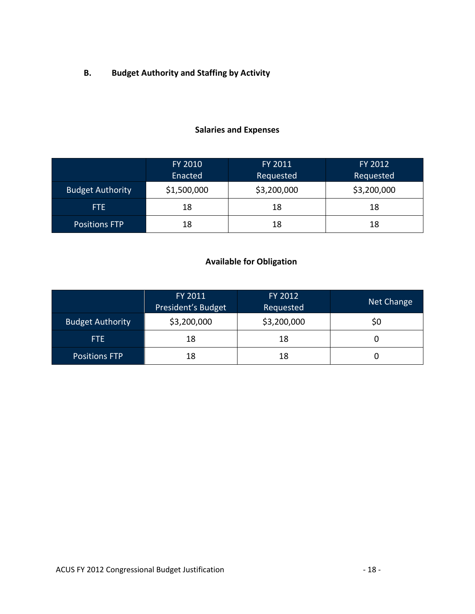<span id="page-17-0"></span>**B. Budget Authority and Staffing by Activity**

# **Salaries and Expenses**

|                         | FY 2010     | FY 2011     | FY 2012     |  |  |
|-------------------------|-------------|-------------|-------------|--|--|
|                         | Enacted     | Requested   | Requested   |  |  |
| <b>Budget Authority</b> | \$1,500,000 | \$3,200,000 | \$3,200,000 |  |  |
| FTE.                    | 18          | 18          | 18          |  |  |
| <b>Positions FTP</b>    | 18          | 18          | 18          |  |  |

# **Available for Obligation**

|                         | FY 2011<br>President's Budget | FY 2012<br>Requested | Net Change |
|-------------------------|-------------------------------|----------------------|------------|
| <b>Budget Authority</b> | \$3,200,000                   | \$3,200,000          | 50         |
| FTE.                    | 18                            | 18                   |            |
| <b>Positions FTP</b>    | 18                            | 18                   |            |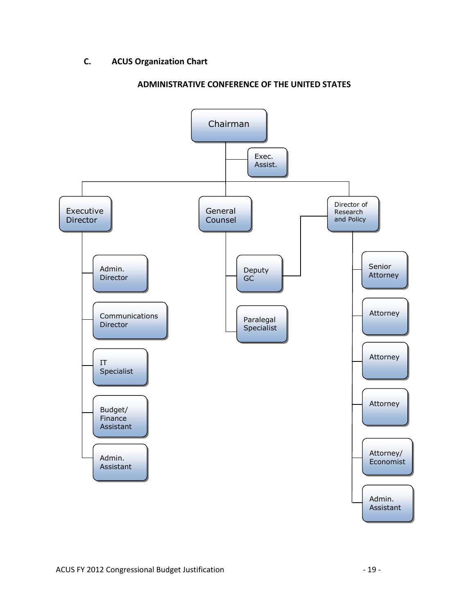# <span id="page-18-0"></span>**C. ACUS Organization Chart**



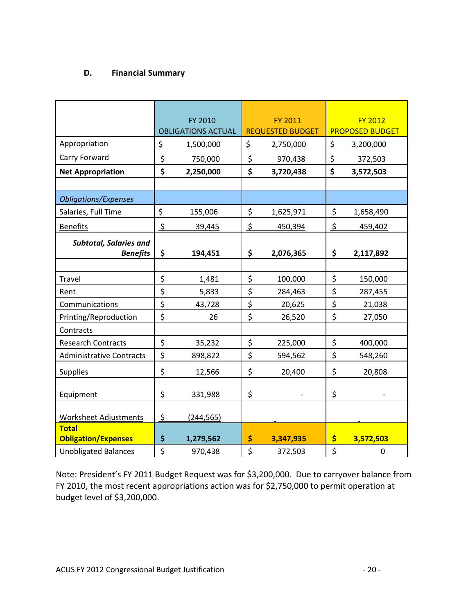# <span id="page-19-0"></span>**D. Financial Summary**

|                                 |    | FY 2010                   |    | FY 2011                 |    | <b>FY 2012</b>         |  |
|---------------------------------|----|---------------------------|----|-------------------------|----|------------------------|--|
|                                 |    | <b>OBLIGATIONS ACTUAL</b> |    | <b>REQUESTED BUDGET</b> |    | <b>PROPOSED BUDGET</b> |  |
| Appropriation                   |    | 1,500,000                 | \$ | 2,750,000               | \$ | 3,200,000              |  |
| Carry Forward                   | \$ | 750,000                   | \$ | 970,438                 | \$ | 372,503                |  |
| <b>Net Appropriation</b>        |    | 2,250,000                 | \$ | 3,720,438               | \$ | 3,572,503              |  |
|                                 |    |                           |    |                         |    |                        |  |
| <b>Obligations/Expenses</b>     |    |                           |    |                         |    |                        |  |
| Salaries, Full Time             | \$ | 155,006                   | \$ | 1,625,971               | \$ | 1,658,490              |  |
| <b>Benefits</b>                 | \$ | 39,445                    | \$ | 450,394                 | \$ | 459,402                |  |
| <b>Subtotal, Salaries and</b>   |    |                           |    |                         |    |                        |  |
| <b>Benefits</b>                 | \$ | 194,451                   | \$ | 2,076,365               | \$ | 2,117,892              |  |
|                                 |    |                           |    |                         |    |                        |  |
| Travel                          |    | 1,481                     | \$ | 100,000                 | \$ | 150,000                |  |
| Rent                            |    | 5,833                     | \$ | 284,463                 | \$ | 287,455                |  |
| Communications                  |    | 43,728                    | \$ | 20,625                  | \$ | 21,038                 |  |
| Printing/Reproduction           |    | 26                        | \$ | 26,520                  | \$ | 27,050                 |  |
| Contracts                       |    |                           |    |                         |    |                        |  |
| <b>Research Contracts</b>       |    | 35,232                    | \$ | 225,000                 | \$ | 400,000                |  |
| <b>Administrative Contracts</b> |    | 898,822                   | \$ | 594,562                 | \$ | 548,260                |  |
| <b>Supplies</b>                 |    | 12,566                    | \$ | 20,400                  | \$ | 20,808                 |  |
|                                 |    |                           |    |                         |    |                        |  |
| Equipment                       |    | 331,988                   | \$ |                         | \$ |                        |  |
| <b>Worksheet Adjustments</b>    |    | (244, 565)                |    |                         |    |                        |  |
| <b>Total</b>                    |    |                           |    |                         |    |                        |  |
| <b>Obligation/Expenses</b>      | \$ | 1,279,562                 | \$ | 3,347,935               | \$ | 3,572,503              |  |
| <b>Unobligated Balances</b>     |    | 970,438                   | \$ | 372,503                 | \$ | $\mathbf 0$            |  |

Note: President's FY 2011 Budget Request was for \$3,200,000. Due to carryover balance from FY 2010, the most recent appropriations action was for \$2,750,000 to permit operation at budget level of \$3,200,000.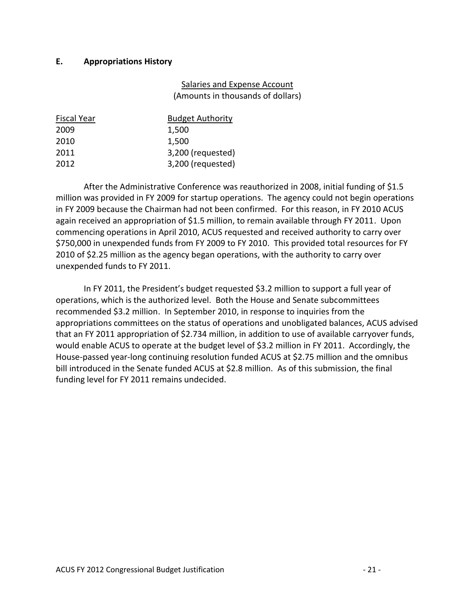## <span id="page-20-0"></span>**E. Appropriations History**

## Salaries and Expense Account (Amounts in thousands of dollars)

| <b>Fiscal Year</b> | <b>Budget Authority</b> |
|--------------------|-------------------------|
| 2009               | 1,500                   |
| 2010               | 1,500                   |
| 2011               | 3,200 (requested)       |
| 2012               | 3,200 (requested)       |

After the Administrative Conference was reauthorized in 2008, initial funding of \$1.5 million was provided in FY 2009 for startup operations. The agency could not begin operations in FY 2009 because the Chairman had not been confirmed. For this reason, in FY 2010 ACUS again received an appropriation of \$1.5 million, to remain available through FY 2011. Upon commencing operations in April 2010, ACUS requested and received authority to carry over \$750,000 in unexpended funds from FY 2009 to FY 2010. This provided total resources for FY 2010 of \$2.25 million as the agency began operations, with the authority to carry over unexpended funds to FY 2011.

In FY 2011, the President's budget requested \$3.2 million to support a full year of operations, which is the authorized level. Both the House and Senate subcommittees recommended \$3.2 million. In September 2010, in response to inquiries from the appropriations committees on the status of operations and unobligated balances, ACUS advised that an FY 2011 appropriation of \$2.734 million, in addition to use of available carryover funds, would enable ACUS to operate at the budget level of \$3.2 million in FY 2011. Accordingly, the House-passed year-long continuing resolution funded ACUS at \$2.75 million and the omnibus bill introduced in the Senate funded ACUS at \$2.8 million. As of this submission, the final funding level for FY 2011 remains undecided.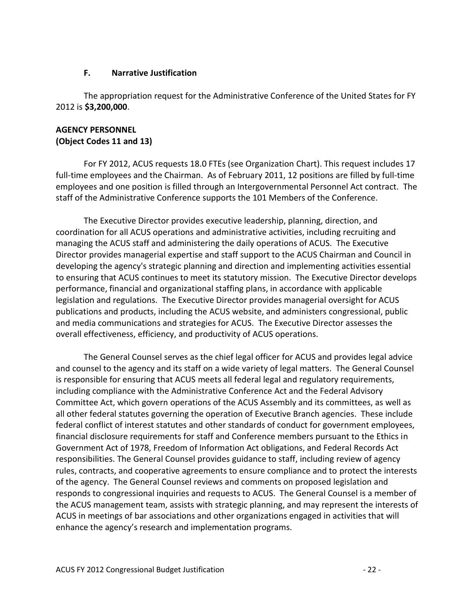#### **F. Narrative Justification**

<span id="page-21-0"></span>The appropriation request for the Administrative Conference of the United States for FY 2012 is **\$3,200,000**.

# **AGENCY PERSONNEL (Object Codes 11 and 13)**

For FY 2012, ACUS requests 18.0 FTEs (see Organization Chart). This request includes 17 full-time employees and the Chairman. As of February 2011, 12 positions are filled by full-time employees and one position is filled through an Intergovernmental Personnel Act contract. The staff of the Administrative Conference supports the 101 Members of the Conference.

The Executive Director provides executive leadership, planning, direction, and coordination for all ACUS operations and administrative activities, including recruiting and managing the ACUS staff and administering the daily operations of ACUS. The Executive Director provides managerial expertise and staff support to the ACUS Chairman and Council in developing the agency's strategic planning and direction and implementing activities essential to ensuring that ACUS continues to meet its statutory mission. The Executive Director develops performance, financial and organizational staffing plans, in accordance with applicable legislation and regulations. The Executive Director provides managerial oversight for ACUS publications and products, including the ACUS website, and administers congressional, public and media communications and strategies for ACUS. The Executive Director assesses the overall effectiveness, efficiency, and productivity of ACUS operations.

The General Counsel serves as the chief legal officer for ACUS and provides legal advice and counsel to the agency and its staff on a wide variety of legal matters. The General Counsel is responsible for ensuring that ACUS meets all federal legal and regulatory requirements, including compliance with the Administrative Conference Act and the Federal Advisory Committee Act, which govern operations of the ACUS Assembly and its committees, as well as all other federal statutes governing the operation of Executive Branch agencies. These include federal conflict of interest statutes and other standards of conduct for government employees, financial disclosure requirements for staff and Conference members pursuant to the Ethics in Government Act of 1978, Freedom of Information Act obligations, and Federal Records Act responsibilities. The General Counsel provides guidance to staff, including review of agency rules, contracts, and cooperative agreements to ensure compliance and to protect the interests of the agency. The General Counsel reviews and comments on proposed legislation and responds to congressional inquiries and requests to ACUS. The General Counsel is a member of the ACUS management team, assists with strategic planning, and may represent the interests of ACUS in meetings of bar associations and other organizations engaged in activities that will enhance the agency's research and implementation programs.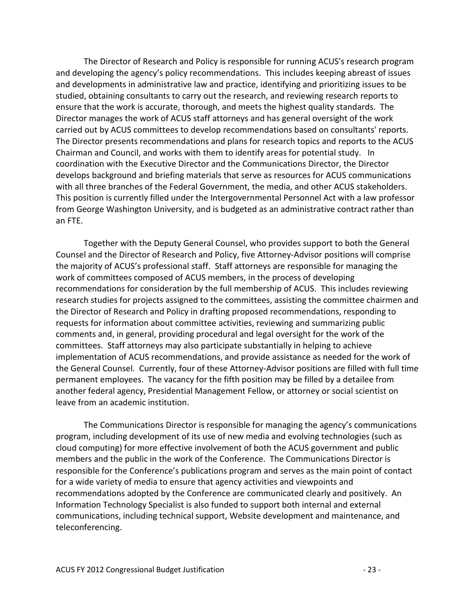The Director of Research and Policy is responsible for running ACUS's research program and developing the agency's policy recommendations. This includes keeping abreast of issues and developments in administrative law and practice, identifying and prioritizing issues to be studied, obtaining consultants to carry out the research, and reviewing research reports to ensure that the work is accurate, thorough, and meets the highest quality standards. The Director manages the work of ACUS staff attorneys and has general oversight of the work carried out by ACUS committees to develop recommendations based on consultants' reports. The Director presents recommendations and plans for research topics and reports to the ACUS Chairman and Council, and works with them to identify areas for potential study. In coordination with the Executive Director and the Communications Director, the Director develops background and briefing materials that serve as resources for ACUS communications with all three branches of the Federal Government, the media, and other ACUS stakeholders. This position is currently filled under the Intergovernmental Personnel Act with a law professor from George Washington University, and is budgeted as an administrative contract rather than an FTE.

Together with the Deputy General Counsel, who provides support to both the General Counsel and the Director of Research and Policy, five Attorney-Advisor positions will comprise the majority of ACUS's professional staff. Staff attorneys are responsible for managing the work of committees composed of ACUS members, in the process of developing recommendations for consideration by the full membership of ACUS. This includes reviewing research studies for projects assigned to the committees, assisting the committee chairmen and the Director of Research and Policy in drafting proposed recommendations, responding to requests for information about committee activities, reviewing and summarizing public comments and, in general, providing procedural and legal oversight for the work of the committees. Staff attorneys may also participate substantially in helping to achieve implementation of ACUS recommendations, and provide assistance as needed for the work of the General Counsel. Currently, four of these Attorney-Advisor positions are filled with full time permanent employees. The vacancy for the fifth position may be filled by a detailee from another federal agency, Presidential Management Fellow, or attorney or social scientist on leave from an academic institution.

The Communications Director is responsible for managing the agency's communications program, including development of its use of new media and evolving technologies (such as cloud computing) for more effective involvement of both the ACUS government and public members and the public in the work of the Conference. The Communications Director is responsible for the Conference's publications program and serves as the main point of contact for a wide variety of media to ensure that agency activities and viewpoints and recommendations adopted by the Conference are communicated clearly and positively. An Information Technology Specialist is also funded to support both internal and external communications, including technical support, Website development and maintenance, and teleconferencing.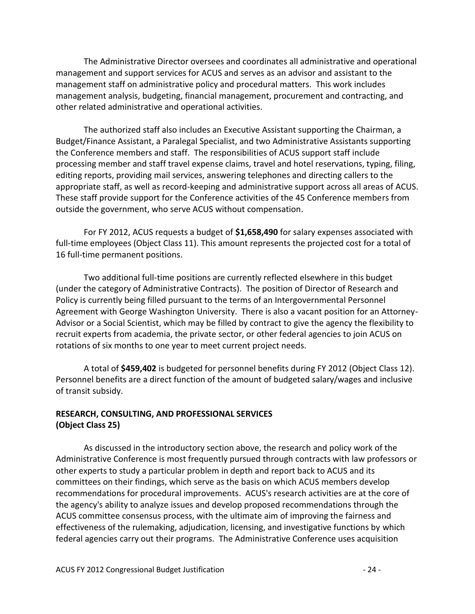The Administrative Director oversees and coordinates all administrative and operational management and support services for ACUS and serves as an advisor and assistant to the management staff on administrative policy and procedural matters. This work includes management analysis, budgeting, financial management, procurement and contracting, and other related administrative and operational activities.

The authorized staff also includes an Executive Assistant supporting the Chairman, a Budget/Finance Assistant, a Paralegal Specialist, and two Administrative Assistants supporting the Conference members and staff. The responsibilities of ACUS support staff include processing member and staff travel expense claims, travel and hotel reservations, typing, filing, editing reports, providing mail services, answering telephones and directing callers to the appropriate staff, as well as record-keeping and administrative support across all areas of ACUS. These staff provide support for the Conference activities of the 45 Conference members from outside the government, who serve ACUS without compensation.

For FY 2012, ACUS requests a budget of **\$1,658,490** for salary expenses associated with full-time employees (Object Class 11). This amount represents the projected cost for a total of 16 full-time permanent positions.

Two additional full-time positions are currently reflected elsewhere in this budget (under the category of Administrative Contracts). The position of Director of Research and Policy is currently being filled pursuant to the terms of an Intergovernmental Personnel Agreement with George Washington University. There is also a vacant position for an Attorney-Advisor or a Social Scientist, which may be filled by contract to give the agency the flexibility to recruit experts from academia, the private sector, or other federal agencies to join ACUS on rotations of six months to one year to meet current project needs.

A total of **\$459,402** is budgeted for personnel benefits during FY 2012 (Object Class 12). Personnel benefits are a direct function of the amount of budgeted salary/wages and inclusive of transit subsidy.

# **RESEARCH, CONSULTING, AND PROFESSIONAL SERVICES (Object Class 25)**

As discussed in the introductory section above, the research and policy work of the Administrative Conference is most frequently pursued through contracts with law professors or other experts to study a particular problem in depth and report back to ACUS and its committees on their findings, which serve as the basis on which ACUS members develop recommendations for procedural improvements. ACUS's research activities are at the core of the agency's ability to analyze issues and develop proposed recommendations through the ACUS committee consensus process, with the ultimate aim of improving the fairness and effectiveness of the rulemaking, adjudication, licensing, and investigative functions by which federal agencies carry out their programs. The Administrative Conference uses acquisition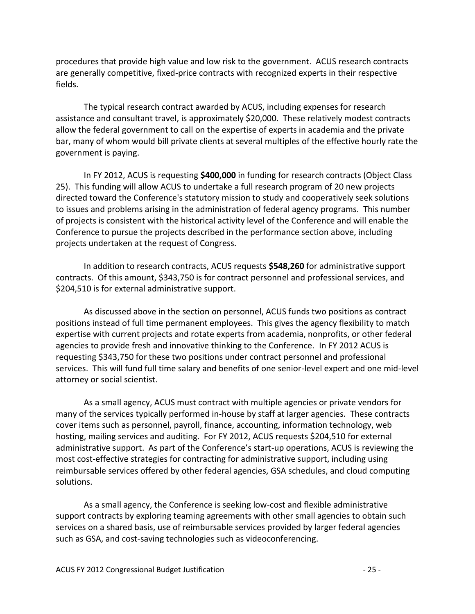procedures that provide high value and low risk to the government. ACUS research contracts are generally competitive, fixed-price contracts with recognized experts in their respective fields.

The typical research contract awarded by ACUS, including expenses for research assistance and consultant travel, is approximately \$20,000. These relatively modest contracts allow the federal government to call on the expertise of experts in academia and the private bar, many of whom would bill private clients at several multiples of the effective hourly rate the government is paying.

In FY 2012, ACUS is requesting **\$400,000** in funding for research contracts (Object Class 25). This funding will allow ACUS to undertake a full research program of 20 new projects directed toward the Conference's statutory mission to study and cooperatively seek solutions to issues and problems arising in the administration of federal agency programs. This number of projects is consistent with the historical activity level of the Conference and will enable the Conference to pursue the projects described in the performance section above, including projects undertaken at the request of Congress.

In addition to research contracts, ACUS requests **\$548,260** for administrative support contracts. Of this amount, \$343,750 is for contract personnel and professional services, and \$204,510 is for external administrative support.

As discussed above in the section on personnel, ACUS funds two positions as contract positions instead of full time permanent employees. This gives the agency flexibility to match expertise with current projects and rotate experts from academia, nonprofits, or other federal agencies to provide fresh and innovative thinking to the Conference. In FY 2012 ACUS is requesting \$343,750 for these two positions under contract personnel and professional services. This will fund full time salary and benefits of one senior-level expert and one mid-level attorney or social scientist.

As a small agency, ACUS must contract with multiple agencies or private vendors for many of the services typically performed in-house by staff at larger agencies. These contracts cover items such as personnel, payroll, finance, accounting, information technology, web hosting, mailing services and auditing. For FY 2012, ACUS requests \$204,510 for external administrative support. As part of the Conference's start-up operations, ACUS is reviewing the most cost-effective strategies for contracting for administrative support, including using reimbursable services offered by other federal agencies, GSA schedules, and cloud computing solutions.

As a small agency, the Conference is seeking low-cost and flexible administrative support contracts by exploring teaming agreements with other small agencies to obtain such services on a shared basis, use of reimbursable services provided by larger federal agencies such as GSA, and cost-saving technologies such as videoconferencing.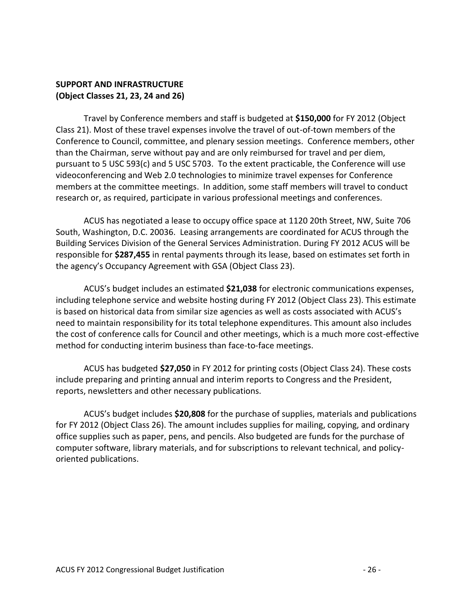## **SUPPORT AND INFRASTRUCTURE (Object Classes 21, 23, 24 and 26)**

Travel by Conference members and staff is budgeted at **\$150,000** for FY 2012 (Object Class 21). Most of these travel expenses involve the travel of out-of-town members of the Conference to Council, committee, and plenary session meetings. Conference members, other than the Chairman, serve without pay and are only reimbursed for travel and per diem, pursuant to 5 USC 593(c) and 5 USC 5703. To the extent practicable, the Conference will use videoconferencing and Web 2.0 technologies to minimize travel expenses for Conference members at the committee meetings. In addition, some staff members will travel to conduct research or, as required, participate in various professional meetings and conferences.

ACUS has negotiated a lease to occupy office space at 1120 20th Street, NW, Suite 706 South, Washington, D.C. 20036. Leasing arrangements are coordinated for ACUS through the Building Services Division of the General Services Administration. During FY 2012 ACUS will be responsible for **\$287,455** in rental payments through its lease, based on estimates set forth in the agency's Occupancy Agreement with GSA (Object Class 23).

ACUS's budget includes an estimated **\$21,038** for electronic communications expenses, including telephone service and website hosting during FY 2012 (Object Class 23). This estimate is based on historical data from similar size agencies as well as costs associated with ACUS's need to maintain responsibility for its total telephone expenditures. This amount also includes the cost of conference calls for Council and other meetings, which is a much more cost-effective method for conducting interim business than face-to-face meetings.

ACUS has budgeted **\$27,050** in FY 2012 for printing costs (Object Class 24). These costs include preparing and printing annual and interim reports to Congress and the President, reports, newsletters and other necessary publications.

ACUS's budget includes **\$20,808** for the purchase of supplies, materials and publications for FY 2012 (Object Class 26). The amount includes supplies for mailing, copying, and ordinary office supplies such as paper, pens, and pencils. Also budgeted are funds for the purchase of computer software, library materials, and for subscriptions to relevant technical, and policyoriented publications.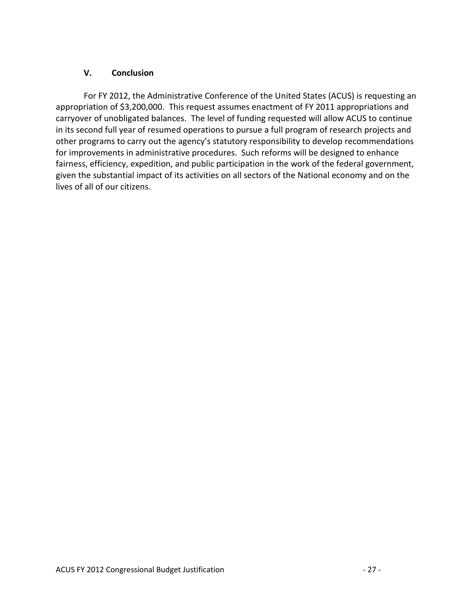## <span id="page-26-0"></span>**V. Conclusion**

For FY 2012, the Administrative Conference of the United States (ACUS) is requesting an appropriation of \$3,200,000. This request assumes enactment of FY 2011 appropriations and carryover of unobligated balances. The level of funding requested will allow ACUS to continue in its second full year of resumed operations to pursue a full program of research projects and other programs to carry out the agency's statutory responsibility to develop recommendations for improvements in administrative procedures. Such reforms will be designed to enhance fairness, efficiency, expedition, and public participation in the work of the federal government, given the substantial impact of its activities on all sectors of the National economy and on the lives of all of our citizens.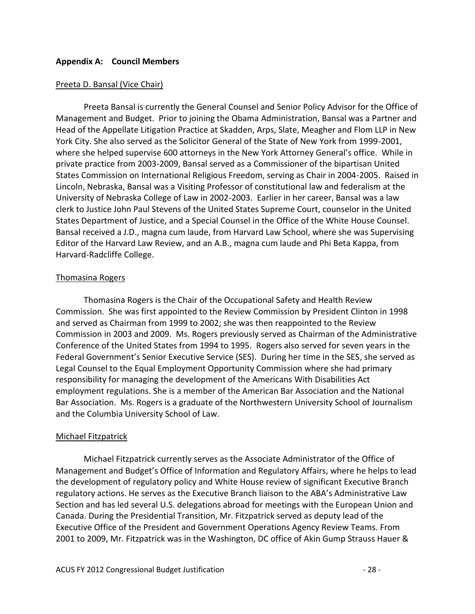#### <span id="page-27-0"></span>**Appendix A: Council Members**

#### Preeta D. Bansal (Vice Chair)

Preeta Bansal is currently the General Counsel and Senior Policy Advisor for the Office of Management and Budget. Prior to joining the Obama Administration, Bansal was a Partner and Head of the Appellate Litigation Practice at Skadden, Arps, Slate, Meagher and Flom LLP in New York City. She also served as the Solicitor General of the State of New York from 1999-2001, where she helped supervise 600 attorneys in the New York Attorney General's office. While in private practice from 2003-2009, Bansal served as a Commissioner of the bipartisan United States Commission on International Religious Freedom, serving as Chair in 2004-2005. Raised in Lincoln, Nebraska, Bansal was a Visiting Professor of constitutional law and federalism at the University of Nebraska College of Law in 2002-2003. Earlier in her career, Bansal was a law clerk to Justice John Paul Stevens of the United States Supreme Court, counselor in the United States Department of Justice, and a Special Counsel in the Office of the White House Counsel. Bansal received a J.D., magna cum laude, from Harvard Law School, where she was Supervising Editor of the Harvard Law Review, and an A.B., magna cum laude and Phi Beta Kappa, from Harvard-Radcliffe College.

#### Thomasina Rogers

Thomasina Rogers is the Chair of the Occupational Safety and Health Review Commission. She was first appointed to the Review Commission by President Clinton in 1998 and served as Chairman from 1999 to 2002; she was then reappointed to the Review Commission in 2003 and 2009. Ms. Rogers previously served as Chairman of the Administrative Conference of the United States from 1994 to 1995. Rogers also served for seven years in the Federal Government's Senior Executive Service (SES). During her time in the SES, she served as Legal Counsel to the Equal Employment Opportunity Commission where she had primary responsibility for managing the development of the Americans With Disabilities Act employment regulations. She is a member of the American Bar Association and the National Bar Association. Ms. Rogers is a graduate of the Northwestern University School of Journalism and the Columbia University School of Law.

#### Michael Fitzpatrick

Michael Fitzpatrick currently serves as the Associate Administrator of the Office of Management and Budget's Office of Information and Regulatory Affairs, where he helps to lead the development of regulatory policy and White House review of significant Executive Branch regulatory actions. He serves as the Executive Branch liaison to the ABA's Administrative Law Section and has led several U.S. delegations abroad for meetings with the European Union and Canada. During the Presidential Transition, Mr. Fitzpatrick served as deputy lead of the Executive Office of the President and Government Operations Agency Review Teams. From 2001 to 2009, Mr. Fitzpatrick was in the Washington, DC office of Akin Gump Strauss Hauer &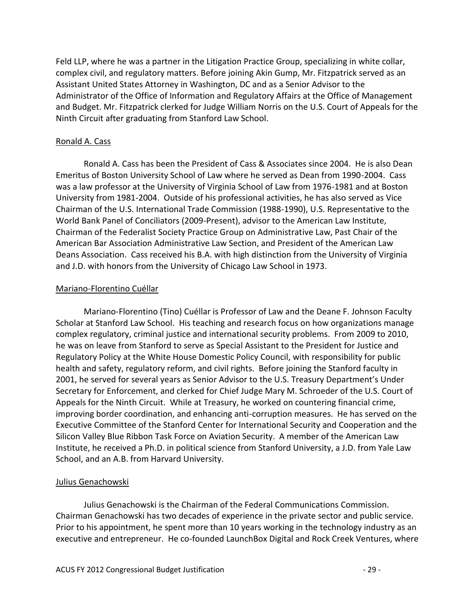Feld LLP, where he was a partner in the Litigation Practice Group, specializing in white collar, complex civil, and regulatory matters. Before joining Akin Gump, Mr. Fitzpatrick served as an Assistant United States Attorney in Washington, DC and as a Senior Advisor to the Administrator of the Office of Information and Regulatory Affairs at the Office of Management and Budget. Mr. Fitzpatrick clerked for Judge William Norris on the U.S. Court of Appeals for the Ninth Circuit after graduating from Stanford Law School.

## Ronald A. Cass

Ronald A. Cass has been the President of Cass & Associates since 2004. He is also Dean Emeritus of Boston University School of Law where he served as Dean from 1990-2004. Cass was a law professor at the University of Virginia School of Law from 1976-1981 and at Boston University from 1981-2004. Outside of his professional activities, he has also served as Vice Chairman of the U.S. International Trade Commission (1988-1990), U.S. Representative to the World Bank Panel of Conciliators (2009-Present), advisor to the American Law Institute, Chairman of the Federalist Society Practice Group on Administrative Law, Past Chair of the American Bar Association Administrative Law Section, and President of the American Law Deans Association. Cass received his B.A. with high distinction from the University of Virginia and J.D. with honors from the University of Chicago Law School in 1973.

#### Mariano-Florentino Cuéllar

Mariano-Florentino (Tino) Cuéllar is Professor of Law and the Deane F. Johnson Faculty Scholar at Stanford Law School. His teaching and research focus on how organizations manage complex regulatory, criminal justice and international security problems. From 2009 to 2010, he was on leave from Stanford to serve as Special Assistant to the President for Justice and Regulatory Policy at the White House Domestic Policy Council, with responsibility for public health and safety, regulatory reform, and civil rights. Before joining the Stanford faculty in 2001, he served for several years as Senior Advisor to the U.S. Treasury Department's Under Secretary for Enforcement, and clerked for Chief Judge Mary M. Schroeder of the U.S. Court of Appeals for the Ninth Circuit. While at Treasury, he worked on countering financial crime, improving border coordination, and enhancing anti-corruption measures. He has served on the Executive Committee of the Stanford Center for International Security and Cooperation and the Silicon Valley Blue Ribbon Task Force on Aviation Security. A member of the American Law Institute, he received a Ph.D. in political science from Stanford University, a J.D. from Yale Law School, and an A.B. from Harvard University.

# Julius Genachowski

Julius Genachowski is the Chairman of the Federal Communications Commission. Chairman Genachowski has two decades of experience in the private sector and public service. Prior to his appointment, he spent more than 10 years working in the technology industry as an executive and entrepreneur. He co-founded LaunchBox Digital and Rock Creek Ventures, where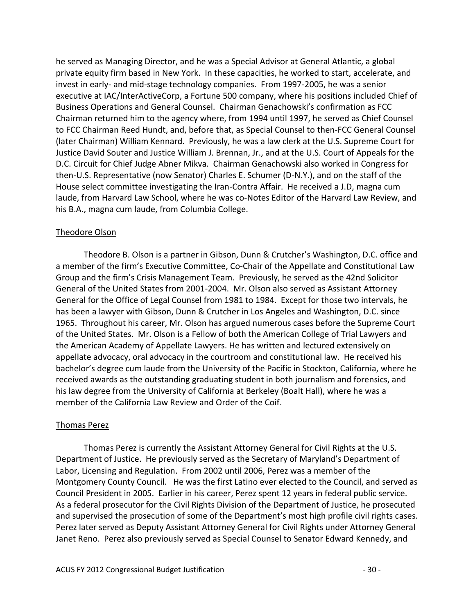he served as Managing Director, and he was a Special Advisor at General Atlantic, a global private equity firm based in New York. In these capacities, he worked to start, accelerate, and invest in early- and mid-stage technology companies. From 1997-2005, he was a senior executive at IAC/InterActiveCorp, a Fortune 500 company, where his positions included Chief of Business Operations and General Counsel. Chairman Genachowski's confirmation as FCC Chairman returned him to the agency where, from 1994 until 1997, he served as Chief Counsel to FCC Chairman Reed Hundt, and, before that, as Special Counsel to then-FCC General Counsel (later Chairman) William Kennard. Previously, he was a law clerk at the U.S. Supreme Court for Justice David Souter and Justice William J. Brennan, Jr., and at the U.S. Court of Appeals for the D.C. Circuit for Chief Judge Abner Mikva. Chairman Genachowski also worked in Congress for then-U.S. Representative (now Senator) Charles E. Schumer (D-N.Y.), and on the staff of the House select committee investigating the Iran-Contra Affair. He received a J.D, magna cum laude, from Harvard Law School, where he was co-Notes Editor of the Harvard Law Review, and his B.A., magna cum laude, from Columbia College.

#### Theodore Olson

Theodore B. Olson is a partner in Gibson, Dunn & Crutcher's Washington, D.C. office and a member of the firm's Executive Committee, Co-Chair of the Appellate and Constitutional Law Group and the firm's Crisis Management Team. Previously, he served as the 42nd Solicitor General of the United States from 2001-2004. Mr. Olson also served as Assistant Attorney General for the Office of Legal Counsel from 1981 to 1984. Except for those two intervals, he has been a lawyer with Gibson, Dunn & Crutcher in Los Angeles and Washington, D.C. since 1965. Throughout his career, Mr. Olson has argued numerous cases before the Supreme Court of the United States. Mr. Olson is a Fellow of both the American College of Trial Lawyers and the American Academy of Appellate Lawyers. He has written and lectured extensively on appellate advocacy, oral advocacy in the courtroom and constitutional law. He received his bachelor's degree cum laude from the University of the Pacific in Stockton, California, where he received awards as the outstanding graduating student in both journalism and forensics, and his law degree from the University of California at Berkeley (Boalt Hall), where he was a member of the California Law Review and Order of the Coif.

#### Thomas Perez

Thomas Perez is currently the Assistant Attorney General for Civil Rights at the U.S. Department of Justice. He previously served as the Secretary of Maryland's Department of Labor, Licensing and Regulation. From 2002 until 2006, Perez was a member of the Montgomery County Council. He was the first Latino ever elected to the Council, and served as Council President in 2005. Earlier in his career, Perez spent 12 years in federal public service. As a federal prosecutor for the Civil Rights Division of the Department of Justice, he prosecuted and supervised the prosecution of some of the Department's most high profile civil rights cases. Perez later served as Deputy Assistant Attorney General for Civil Rights under Attorney General Janet Reno. Perez also previously served as Special Counsel to Senator Edward Kennedy, and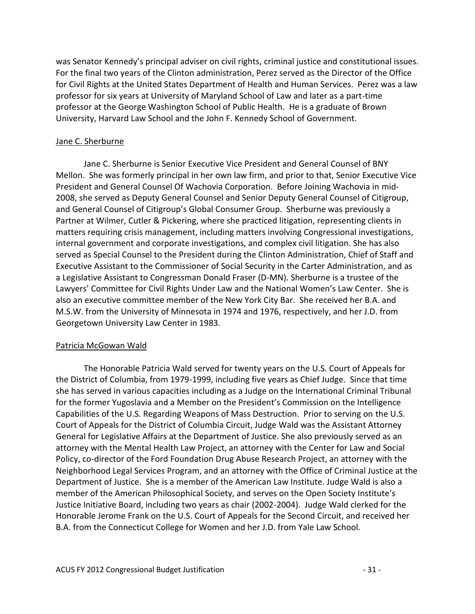was Senator Kennedy's principal adviser on civil rights, criminal justice and constitutional issues. For the final two years of the Clinton administration, Perez served as the Director of the Office for Civil Rights at the United States Department of Health and Human Services. Perez was a law professor for six years at University of Maryland School of Law and later as a part-time professor at the George Washington School of Public Health. He is a graduate of Brown University, Harvard Law School and the John F. Kennedy School of Government.

## Jane C. Sherburne

Jane C. Sherburne is Senior Executive Vice President and General Counsel of BNY Mellon. She was formerly principal in her own law firm, and prior to that, Senior Executive Vice President and General Counsel Of Wachovia Corporation. Before Joining Wachovia in mid-2008, she served as Deputy General Counsel and Senior Deputy General Counsel of Citigroup, and General Counsel of Citigroup's Global Consumer Group. Sherburne was previously a Partner at Wilmer, Cutler & Pickering, where she practiced litigation, representing clients in matters requiring crisis management, including matters involving Congressional investigations, internal government and corporate investigations, and complex civil litigation. She has also served as Special Counsel to the President during the Clinton Administration, Chief of Staff and Executive Assistant to the Commissioner of Social Security in the Carter Administration, and as a Legislative Assistant to Congressman Donald Fraser (D-MN). Sherburne is a trustee of the Lawyers' Committee for Civil Rights Under Law and the National Women's Law Center. She is also an executive committee member of the New York City Bar. She received her B.A. and M.S.W. from the University of Minnesota in 1974 and 1976, respectively, and her J.D. from Georgetown University Law Center in 1983.

#### Patricia McGowan Wald

The Honorable Patricia Wald served for twenty years on the U.S. Court of Appeals for the District of Columbia, from 1979-1999, including five years as Chief Judge. Since that time she has served in various capacities including as a Judge on the International Criminal Tribunal for the former Yugoslavia and a Member on the President's Commission on the Intelligence Capabilities of the U.S. Regarding Weapons of Mass Destruction. Prior to serving on the U.S. Court of Appeals for the District of Columbia Circuit, Judge Wald was the Assistant Attorney General for Legislative Affairs at the Department of Justice. She also previously served as an attorney with the Mental Health Law Project, an attorney with the Center for Law and Social Policy, co-director of the Ford Foundation Drug Abuse Research Project, an attorney with the Neighborhood Legal Services Program, and an attorney with the Office of Criminal Justice at the Department of Justice. She is a member of the American Law Institute. Judge Wald is also a member of the American Philosophical Society, and serves on the Open Society Institute's Justice Initiative Board, including two years as chair (2002-2004). Judge Wald clerked for the Honorable Jerome Frank on the U.S. Court of Appeals for the Second Circuit, and received her B.A. from the Connecticut College for Women and her J.D. from Yale Law School.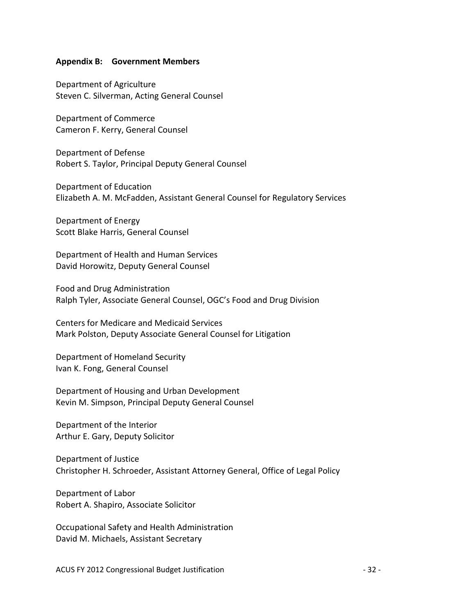#### <span id="page-31-0"></span>**Appendix B: Government Members**

Department of Agriculture Steven C. Silverman, Acting General Counsel

Department of Commerce Cameron F. Kerry, General Counsel

Department of Defense Robert S. Taylor, Principal Deputy General Counsel

Department of Education Elizabeth A. M. McFadden, Assistant General Counsel for Regulatory Services

Department of Energy Scott Blake Harris, General Counsel

Department of Health and Human Services David Horowitz, Deputy General Counsel

Food and Drug Administration Ralph Tyler, Associate General Counsel, OGC's Food and Drug Division

Centers for Medicare and Medicaid Services Mark Polston, Deputy Associate General Counsel for Litigation

Department of Homeland Security Ivan K. Fong, General Counsel

Department of Housing and Urban Development Kevin M. Simpson, Principal Deputy General Counsel

Department of the Interior Arthur E. Gary, Deputy Solicitor

Department of Justice Christopher H. Schroeder, Assistant Attorney General, Office of Legal Policy

Department of Labor Robert A. Shapiro, Associate Solicitor

Occupational Safety and Health Administration David M. Michaels, Assistant Secretary

ACUS FY 2012 Congressional Budget Justification  $-32$  -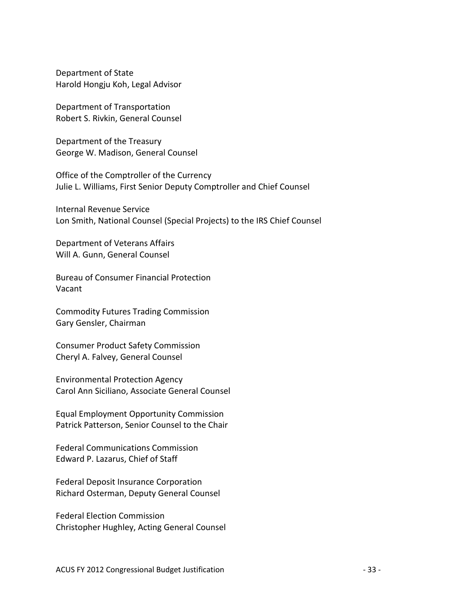Department of State Harold Hongju Koh, Legal Advisor

Department of Transportation Robert S. Rivkin, General Counsel

Department of the Treasury George W. Madison, General Counsel

Office of the Comptroller of the Currency Julie L. Williams, First Senior Deputy Comptroller and Chief Counsel

Internal Revenue Service Lon Smith, National Counsel (Special Projects) to the IRS Chief Counsel

Department of Veterans Affairs Will A. Gunn, General Counsel

Bureau of Consumer Financial Protection Vacant

Commodity Futures Trading Commission Gary Gensler, Chairman

Consumer Product Safety Commission Cheryl A. Falvey, General Counsel

Environmental Protection Agency Carol Ann Siciliano, Associate General Counsel

Equal Employment Opportunity Commission Patrick Patterson, Senior Counsel to the Chair

Federal Communications Commission Edward P. Lazarus, Chief of Staff

Federal Deposit Insurance Corporation Richard Osterman, Deputy General Counsel

Federal Election Commission Christopher Hughley, Acting General Counsel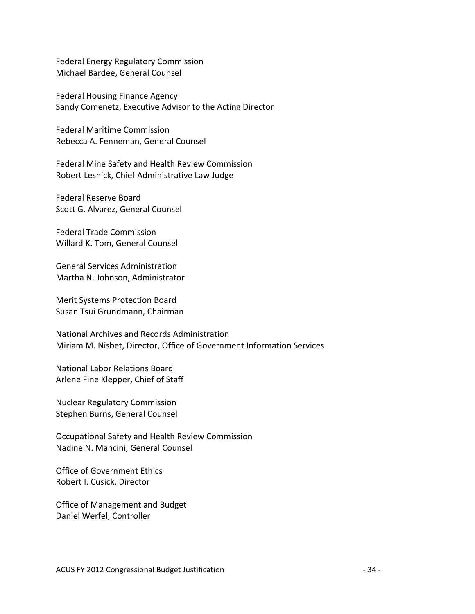Federal Energy Regulatory Commission Michael Bardee, General Counsel

Federal Housing Finance Agency Sandy Comenetz, Executive Advisor to the Acting Director

Federal Maritime Commission Rebecca A. Fenneman, General Counsel

Federal Mine Safety and Health Review Commission Robert Lesnick, Chief Administrative Law Judge

Federal Reserve Board Scott G. Alvarez, General Counsel

Federal Trade Commission Willard K. Tom, General Counsel

General Services Administration Martha N. Johnson, Administrator

Merit Systems Protection Board Susan Tsui Grundmann, Chairman

National Archives and Records Administration Miriam M. Nisbet, Director, Office of Government Information Services

National Labor Relations Board Arlene Fine Klepper, Chief of Staff

Nuclear Regulatory Commission Stephen Burns, General Counsel

Occupational Safety and Health Review Commission Nadine N. Mancini, General Counsel

Office of Government Ethics Robert I. Cusick, Director

Office of Management and Budget Daniel Werfel, Controller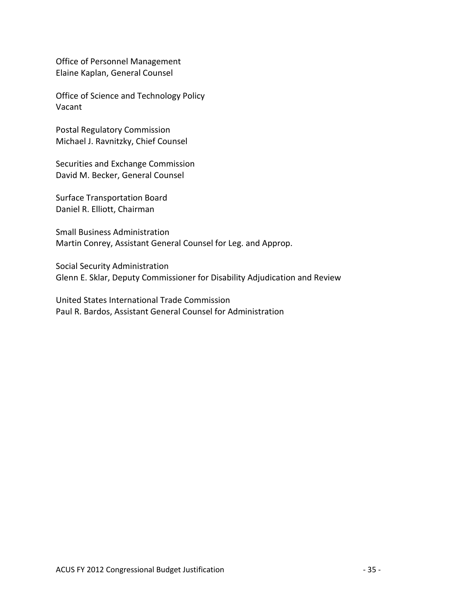Office of Personnel Management Elaine Kaplan, General Counsel

Office of Science and Technology Policy Vacant

Postal Regulatory Commission Michael J. Ravnitzky, Chief Counsel

Securities and Exchange Commission David M. Becker, General Counsel

Surface Transportation Board Daniel R. Elliott, Chairman

Small Business Administration Martin Conrey, Assistant General Counsel for Leg. and Approp.

Social Security Administration Glenn E. Sklar, Deputy Commissioner for Disability Adjudication and Review

United States International Trade Commission Paul R. Bardos, Assistant General Counsel for Administration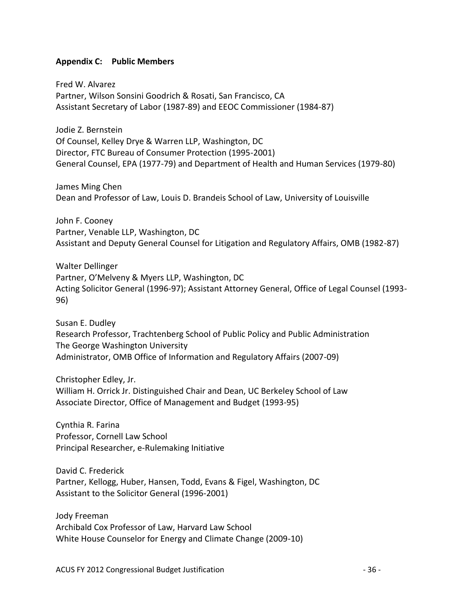#### <span id="page-35-0"></span>**Appendix C: Public Members**

Fred W. Alvarez Partner, Wilson Sonsini Goodrich & Rosati, San Francisco, CA Assistant Secretary of Labor (1987-89) and EEOC Commissioner (1984-87)

Jodie Z. Bernstein Of Counsel, Kelley Drye & Warren LLP, Washington, DC Director, FTC Bureau of Consumer Protection (1995-2001) General Counsel, EPA (1977-79) and Department of Health and Human Services (1979-80)

James Ming Chen Dean and Professor of Law, Louis D. Brandeis School of Law, University of Louisville

John F. Cooney Partner, Venable LLP, Washington, DC Assistant and Deputy General Counsel for Litigation and Regulatory Affairs, OMB (1982-87)

Walter Dellinger Partner, O'Melveny & Myers LLP, Washington, DC Acting Solicitor General (1996-97); Assistant Attorney General, Office of Legal Counsel (1993- 96)

Susan E. Dudley Research Professor, Trachtenberg School of Public Policy and Public Administration The George Washington University Administrator, OMB Office of Information and Regulatory Affairs (2007-09)

Christopher Edley, Jr. William H. Orrick Jr. Distinguished Chair and Dean, UC Berkeley School of Law Associate Director, Office of Management and Budget (1993-95)

Cynthia R. Farina Professor, Cornell Law School Principal Researcher, e-Rulemaking Initiative

David C. Frederick Partner, Kellogg, Huber, Hansen, Todd, Evans & Figel, Washington, DC Assistant to the Solicitor General (1996-2001)

Jody Freeman Archibald Cox Professor of Law, Harvard Law School White House Counselor for Energy and Climate Change (2009-10)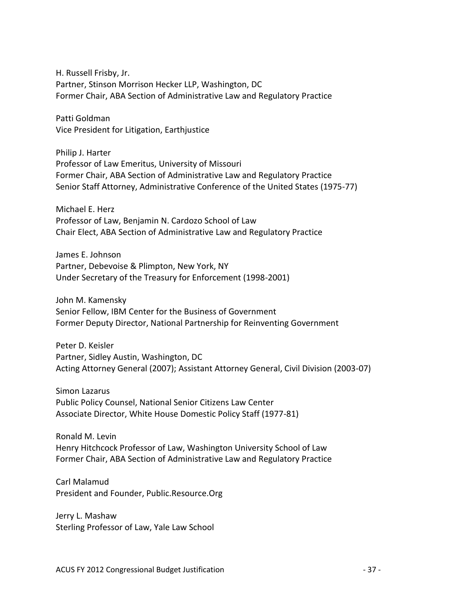H. Russell Frisby, Jr. Partner, Stinson Morrison Hecker LLP, Washington, DC Former Chair, ABA Section of Administrative Law and Regulatory Practice

Patti Goldman Vice President for Litigation, Earthjustice

Philip J. Harter Professor of Law Emeritus, University of Missouri Former Chair, ABA Section of Administrative Law and Regulatory Practice Senior Staff Attorney, Administrative Conference of the United States (1975-77)

Michael E. Herz Professor of Law, Benjamin N. Cardozo School of Law Chair Elect, ABA Section of Administrative Law and Regulatory Practice

James E. Johnson Partner, Debevoise & Plimpton, New York, NY Under Secretary of the Treasury for Enforcement (1998-2001)

John M. Kamensky Senior Fellow, IBM Center for the Business of Government Former Deputy Director, National Partnership for Reinventing Government

Peter D. Keisler Partner, Sidley Austin, Washington, DC Acting Attorney General (2007); Assistant Attorney General, Civil Division (2003-07)

Simon Lazarus Public Policy Counsel, National Senior Citizens Law Center Associate Director, White House Domestic Policy Staff (1977-81)

Ronald M. Levin Henry Hitchcock Professor of Law, Washington University School of Law Former Chair, ABA Section of Administrative Law and Regulatory Practice

Carl Malamud President and Founder, Public.Resource.Org

Jerry L. Mashaw Sterling Professor of Law, Yale Law School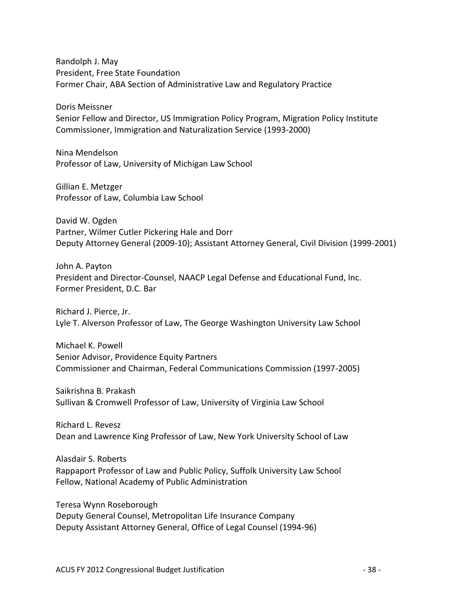Randolph J. May President, Free State Foundation Former Chair, ABA Section of Administrative Law and Regulatory Practice

Doris Meissner Senior Fellow and Director, US Immigration Policy Program, Migration Policy Institute Commissioner, Immigration and Naturalization Service (1993-2000)

Nina Mendelson Professor of Law, University of Michigan Law School

Gillian E. Metzger Professor of Law, Columbia Law School

David W. Ogden Partner, Wilmer Cutler Pickering Hale and Dorr Deputy Attorney General (2009-10); Assistant Attorney General, Civil Division (1999-2001)

John A. Payton President and Director-Counsel, NAACP Legal Defense and Educational Fund, Inc. Former President, D.C. Bar

Richard J. Pierce, Jr. Lyle T. Alverson Professor of Law, The George Washington University Law School

Michael K. Powell Senior Advisor, Providence Equity Partners Commissioner and Chairman, Federal Communications Commission (1997-2005)

Saikrishna B. Prakash Sullivan & Cromwell Professor of Law, University of Virginia Law School

Richard L. Revesz Dean and Lawrence King Professor of Law, New York University School of Law

Alasdair S. Roberts Rappaport Professor of Law and Public Policy, Suffolk University Law School Fellow, National Academy of Public Administration

Teresa Wynn Roseborough Deputy General Counsel, Metropolitan Life Insurance Company Deputy Assistant Attorney General, Office of Legal Counsel (1994-96)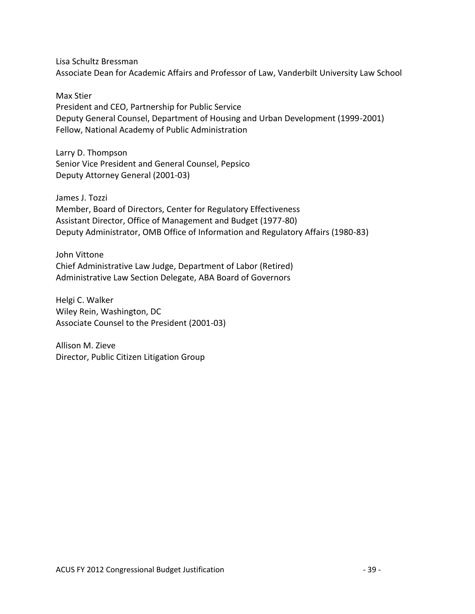Lisa Schultz Bressman Associate Dean for Academic Affairs and Professor of Law, Vanderbilt University Law School

Max Stier President and CEO, Partnership for Public Service Deputy General Counsel, Department of Housing and Urban Development (1999-2001) Fellow, National Academy of Public Administration

Larry D. Thompson Senior Vice President and General Counsel, Pepsico Deputy Attorney General (2001-03)

James J. Tozzi Member, Board of Directors, Center for Regulatory Effectiveness Assistant Director, Office of Management and Budget (1977-80) Deputy Administrator, OMB Office of Information and Regulatory Affairs (1980-83)

John Vittone Chief Administrative Law Judge, Department of Labor (Retired) Administrative Law Section Delegate, ABA Board of Governors

Helgi C. Walker Wiley Rein, Washington, DC Associate Counsel to the President (2001-03)

Allison M. Zieve Director, Public Citizen Litigation Group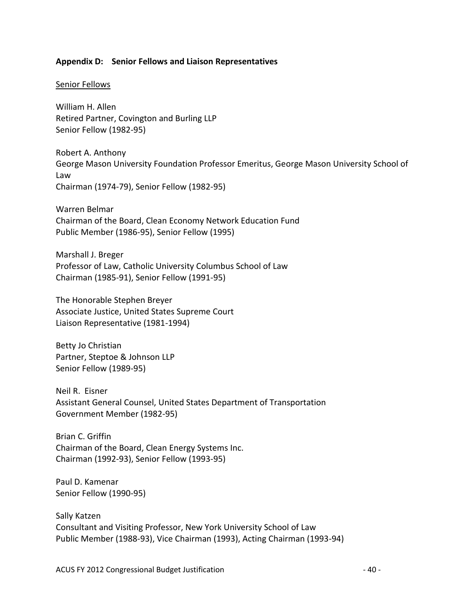#### <span id="page-39-0"></span>**Appendix D: Senior Fellows and Liaison Representatives**

#### Senior Fellows

William H. Allen Retired Partner, Covington and Burling LLP Senior Fellow (1982-95)

Robert A. Anthony George Mason University Foundation Professor Emeritus, George Mason University School of Law Chairman (1974-79), Senior Fellow (1982-95)

Warren Belmar Chairman of the Board, Clean Economy Network Education Fund Public Member (1986-95), Senior Fellow (1995)

Marshall J. Breger Professor of Law, Catholic University Columbus School of Law Chairman (1985-91), Senior Fellow (1991-95)

The Honorable Stephen Breyer Associate Justice, United States Supreme Court Liaison Representative (1981-1994)

Betty Jo Christian Partner, Steptoe & Johnson LLP Senior Fellow (1989-95)

Neil R. Eisner Assistant General Counsel, United States Department of Transportation Government Member (1982-95)

Brian C. Griffin Chairman of the Board, Clean Energy Systems Inc. Chairman (1992-93), Senior Fellow (1993-95)

Paul D. Kamenar Senior Fellow (1990-95)

Sally Katzen Consultant and Visiting Professor, New York University School of Law Public Member (1988-93), Vice Chairman (1993), Acting Chairman (1993-94)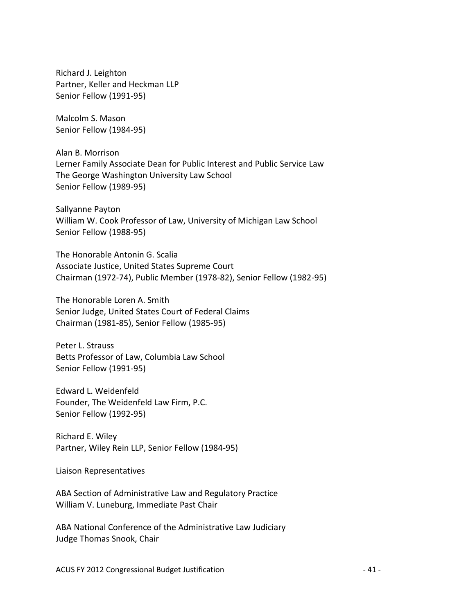Richard J. Leighton Partner, Keller and Heckman LLP Senior Fellow (1991-95)

Malcolm S. Mason Senior Fellow (1984-95)

Alan B. Morrison Lerner Family Associate Dean for Public Interest and Public Service Law The George Washington University Law School Senior Fellow (1989-95)

Sallyanne Payton William W. Cook Professor of Law, University of Michigan Law School Senior Fellow (1988-95)

The Honorable Antonin G. Scalia Associate Justice, United States Supreme Court Chairman (1972-74), Public Member (1978-82), Senior Fellow (1982-95)

The Honorable Loren A. Smith Senior Judge, United States Court of Federal Claims Chairman (1981-85), Senior Fellow (1985-95)

Peter L. Strauss Betts Professor of Law, Columbia Law School Senior Fellow (1991-95)

Edward L. Weidenfeld Founder, The Weidenfeld Law Firm, P.C. Senior Fellow (1992-95)

Richard E. Wiley Partner, Wiley Rein LLP, Senior Fellow (1984-95)

Liaison Representatives

ABA Section of Administrative Law and Regulatory Practice William V. Luneburg, Immediate Past Chair

ABA National Conference of the Administrative Law Judiciary Judge Thomas Snook, Chair

ACUS FY 2012 Congressional Budget Justification  $-41$  -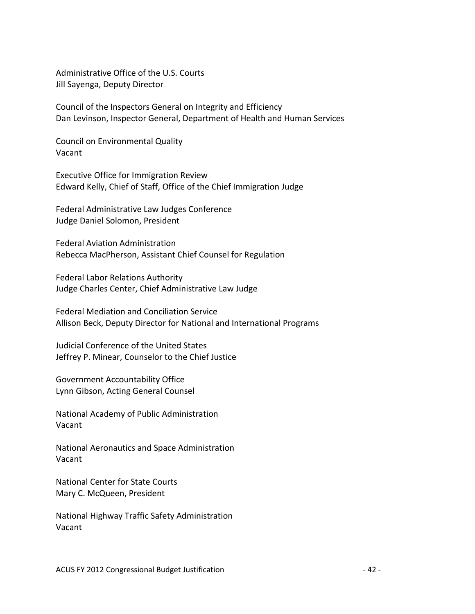Administrative Office of the U.S. Courts Jill Sayenga, Deputy Director

Council of the Inspectors General on Integrity and Efficiency Dan Levinson, Inspector General, Department of Health and Human Services

Council on Environmental Quality Vacant

Executive Office for Immigration Review Edward Kelly, Chief of Staff, Office of the Chief Immigration Judge

Federal Administrative Law Judges Conference Judge Daniel Solomon, President

Federal Aviation Administration Rebecca MacPherson, Assistant Chief Counsel for Regulation

Federal Labor Relations Authority Judge Charles Center, Chief Administrative Law Judge

Federal Mediation and Conciliation Service Allison Beck, Deputy Director for National and International Programs

Judicial Conference of the United States Jeffrey P. Minear, Counselor to the Chief Justice

Government Accountability Office Lynn Gibson, Acting General Counsel

National Academy of Public Administration Vacant

National Aeronautics and Space Administration Vacant

National Center for State Courts Mary C. McQueen, President

National Highway Traffic Safety Administration Vacant